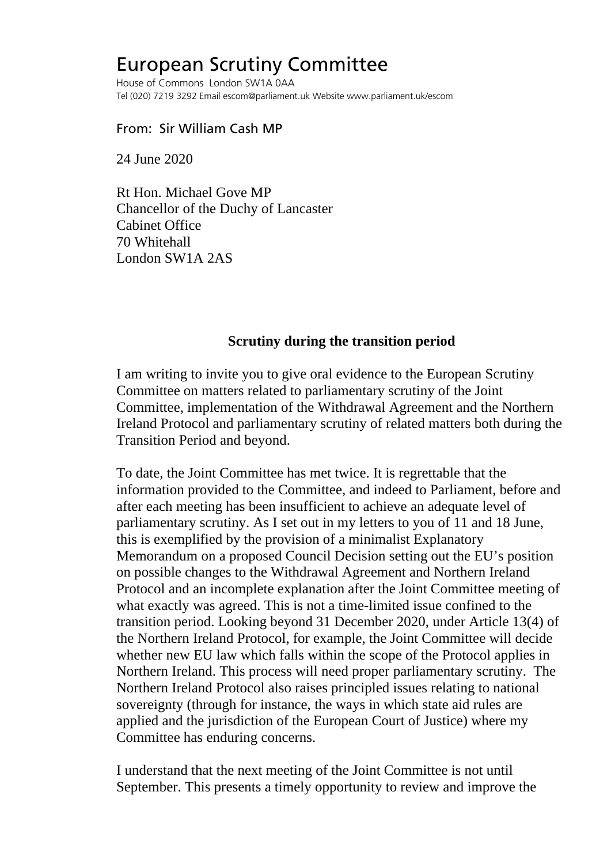## European Scrutiny Committee

House of Commons London SW1A 0AA Tel (020) 7219 3292 Email escom@parliament.uk Website www.parliament.uk/escom

## From: Sir William Cash MP

24 June 2020

Rt Hon. Michael Gove MP Chancellor of the Duchy of Lancaster Cabinet Office 70 Whitehall London SW1A 2AS

## **Scrutiny during the transition period**

I am writing to invite you to give oral evidence to the European Scrutiny Committee on matters related to parliamentary scrutiny of the Joint Committee, implementation of the Withdrawal Agreement and the Northern Ireland Protocol and parliamentary scrutiny of related matters both during the Transition Period and beyond.

To date, the Joint Committee has met twice. It is regrettable that the information provided to the Committee, and indeed to Parliament, before and after each meeting has been insufficient to achieve an adequate level of parliamentary scrutiny. As I set out in my letters to you of 11 and 18 June, this is exemplified by the provision of a minimalist Explanatory Memorandum on a proposed Council Decision setting out the EU's position on possible changes to the Withdrawal Agreement and Northern Ireland Protocol and an incomplete explanation after the Joint Committee meeting of what exactly was agreed. This is not a time-limited issue confined to the transition period. Looking beyond 31 December 2020, under Article 13(4) of the Northern Ireland Protocol, for example, the Joint Committee will decide whether new EU law which falls within the scope of the Protocol applies in Northern Ireland. This process will need proper parliamentary scrutiny. The Northern Ireland Protocol also raises principled issues relating to national sovereignty (through for instance, the ways in which state aid rules are applied and the jurisdiction of the European Court of Justice) where my Committee has enduring concerns.

I understand that the next meeting of the Joint Committee is not until September. This presents a timely opportunity to review and improve the